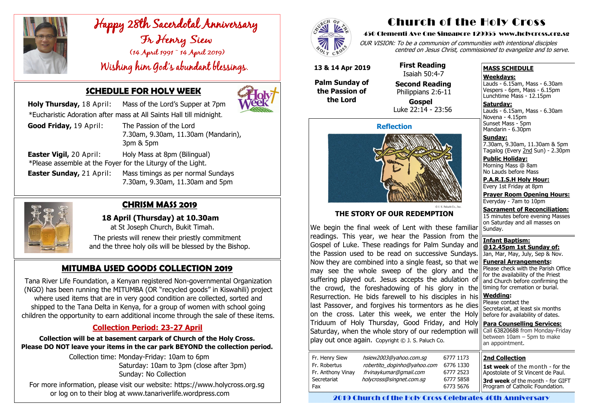

# Happy 28th Sacerdotal Anniversary<br>Fr Henry Siew<br>(14 April 1991 ~ 14 April 2019)

Wishing him God's abundant blessings.



# **SCHEDULE FOR HOLY WEEK**

 **Holy Thursday,** 18 April: Mass of the Lord's Supper at 7pm \*Eucharistic Adoration after mass at All Saints Hall till midnight.

**Easter Sunday,** 21 April: Mass timings as per normal Sundays 7.30am, 9.30am, 11.30am and 5pm



| <b>Good Friday, 19 April:</b>  | The Passion of the Lord                                     |
|--------------------------------|-------------------------------------------------------------|
|                                | 7.30am, 9.30am, 11.30am (Mandarin),                         |
|                                | 3pm & 5pm                                                   |
| <b>Easter Vigil, 20 April:</b> | Holy Mass at 8pm (Bilingual)                                |
|                                | *Please assemble at the Foyer for the Liturgy of the Light. |

# **MITUMBA USED GOODS COLLECTION 2019**

Tana River Life Foundation, a Kenyan registered Non-governmental Organization (NGO) has been running the MITUMBA (OR "recycled goods" in Kiswahili) project where used items that are in very good condition are collected, sorted and shipped to the Tana Delta in Kenya, for a group of women with school going children the opportunity to earn additional income through the sale of these items.

## **Collection Period: 23-27 April**

**Collection will be at basement carpark of Church of the Holy Cross. Please DO NOT leave your items in the car park BEYOND the collection period.**

> Collection time: Monday-Friday: 10am to 6pm Saturday: 10am to 3pm (close after 3pm) Sunday: No Collection

For more information, please visit our website: https://www.holycross.org.sg or log on to their blog at www.tanariverlife.wordpress.com



# **CHRISM MASS 2019**

 **18 April (Thursday) at 10.30am**  at St Joseph Church, Bukit Timah.

 The priests will renew their priestly commitment and the three holy oils will be blessed by the Bishop.

# Church of the Holy Cross

#### 450 Clementi Ave One Singapore 129955 www.holycross.org.sg

OUR VISION: To be a communion of communities with intentional disciples centred on Jesus Christ, commissioned to evangelize and to serve.

#### **MASS SCHEDULE**

**Weekdays:**

Lauds - 6.15am, Mass - 6.30am Vespers - 6pm, Mass - 6.15pm Lunchtime Mass - 12.15pm

**Saturday:** Lauds - 6.15am, Mass - 6.30am Novena - 4.15pm Sunset Mass - 5pm Mandarin - 6.30pm

**Sunday:** 7.30am, 9.30am, 11.30am & 5pm Tagalog (Every 2nd Sun) - 2.30pm

**Public Holiday:**  Morning Mass @ 8am No Lauds before Mass

**P.A.R.I.S.H Holy Hour:** Every 1st Friday at 8pm

**Prayer Room Opening Hours:** Everyday - 7am to 10pm

**Sacrament of Reconciliation:** 15 minutes before evening Masses on Saturday and all masses on

#### **Reflection**



#### **THE STORY OF OUR REDEMPTION**

Sunday. **Infant Baptism: @12.45pm 1st Sunday of:** Jan, Mar, May, July, Sep & Nov. **Funeral Arrangements:**  Please check with the Parish Office for the availability of the Priest and Church before confirming the timing for cremation or burial. **Wedding:**  Please contact the Secretariat, at least six months before for availability of dates. **Para Counselling Services:** Call [63820688](tel:+6563820688) from Monday-Friday between 10am – 5pm to make an appointment. We begin the final week of Lent with these familiar readings. This year, we hear the Passion from the Gospel of Luke. These readings for Palm Sunday and the Passion used to be read on successive Sundays. Now they are combined into a single feast, so that we may see the whole sweep of the glory and the suffering played out. Jesus accepts the adulation of the crowd, the foreshadowing of his glory in the Resurrection. He bids farewell to his disciples in his last Passover, and forgives his tormentors as he dies on the cross. Later this week, we enter the Holy Triduum of Holy Thursday, Good Friday, and Holy Saturday, when the whole story of our redemption will play out once again. Copyright © J. S. Paluch Co.

| Fr. Henry Siew    | hsiew2003@yahoo.com.sg      |  |
|-------------------|-----------------------------|--|
| Fr. Robertus      | robertito_doginho@yahoo.com |  |
| Fr. Anthony Vinay | frvinaykumar@gmail.com      |  |
| Secretariat       | holycross@singnet.com.sq    |  |
| Fax               |                             |  |
|                   |                             |  |

 **13 & 14 Apr 2019**

**Palm Sunday of the Passion of the Lord** 

 **First Reading** Isaiah 50:4-7

**Second Reading**

 Philippians 2:6-11 **Gospel** Luke 22:14 - 23:56

**2nd Collection**

**1st week** of the month - for the Apostolate of St Vincent de Paul.

**3rd week** of the month - for GIFT Program of Catholic Foundation.

2019 Church of the Holy Cross Celebrates 40th Anniversary